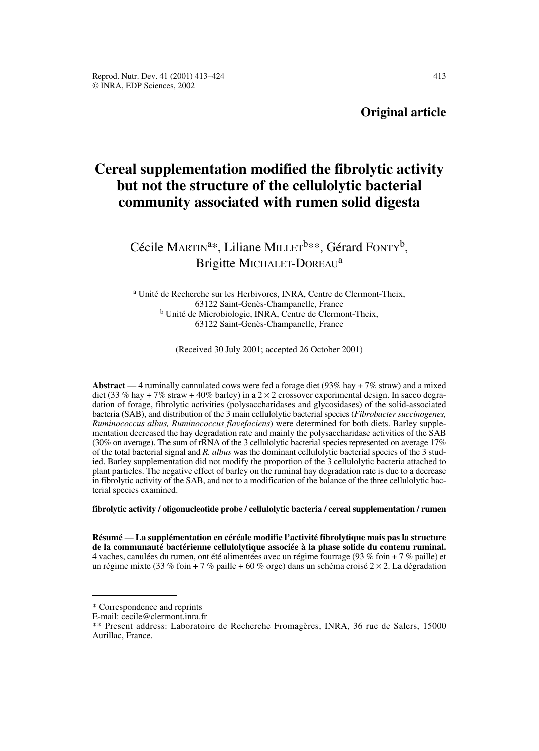## **Original article**

# **Cereal supplementation modified the fibrolytic activity but not the structure of the cellulolytic bacterial community associated with rumen solid digesta**

Cécile MARTIN<sup>a\*</sup>, Liliane MILLET<sup>b\*\*</sup>, Gérard FONTY<sup>b</sup>, Brigitte MICHALET-DOREAU<sup>a</sup>

<sup>a</sup> Unité de Recherche sur les Herbivores, INRA, Centre de Clermont-Theix, 63122 Saint-Genès-Champanelle, France <sup>b</sup> Unité de Microbiologie, INRA, Centre de Clermont-Theix, 63122 Saint-Genès-Champanelle, France

(Received 30 July 2001; accepted 26 October 2001)

**Abstract** — 4 ruminally cannulated cows were fed a forage diet (93% hay + 7% straw) and a mixed diet (33 % hay + 7% straw + 40% barley) in a  $2 \times 2$  crossover experimental design. In sacco degradation of forage, fibrolytic activities (polysaccharidases and glycosidases) of the solid-associated bacteria (SAB), and distribution of the 3 main cellulolytic bacterial species (*Fibrobacter succinogenes, Ruminococcus albus, Ruminococcus flavefaciens*) were determined for both diets. Barley supplementation decreased the hay degradation rate and mainly the polysaccharidase activities of the SAB (30% on average). The sum of rRNA of the 3 cellulolytic bacterial species represented on average 17% of the total bacterial signal and *R. albus* was the dominant cellulolytic bacterial species of the 3 studied. Barley supplementation did not modify the proportion of the 3 cellulolytic bacteria attached to plant particles. The negative effect of barley on the ruminal hay degradation rate is due to a decrease in fibrolytic activity of the SAB, and not to a modification of the balance of the three cellulolytic bacterial species examined.

#### **fibrolytic activity / oligonucleotide probe / cellulolytic bacteria / cereal supplementation / rumen**

**Résumé** — **La supplémentation en céréale modifie l'activité fibrolytique mais pas la structure de la communauté bactérienne cellulolytique associée à la phase solide du contenu ruminal.** 4 vaches, canulées du rumen, ont été alimentées avec un régime fourrage (93 % foin + 7 % paille) et un régime mixte (33 % foin + 7 % paille + 60 % orge) dans un schéma croisé  $2 \times 2$ . La dégradation

<sup>\*</sup> Correspondence and reprints

E-mail: cecile@clermont.inra.fr

<sup>\*\*</sup> Present address: Laboratoire de Recherche Fromagères, INRA, 36 rue de Salers, 15000 Aurillac, France.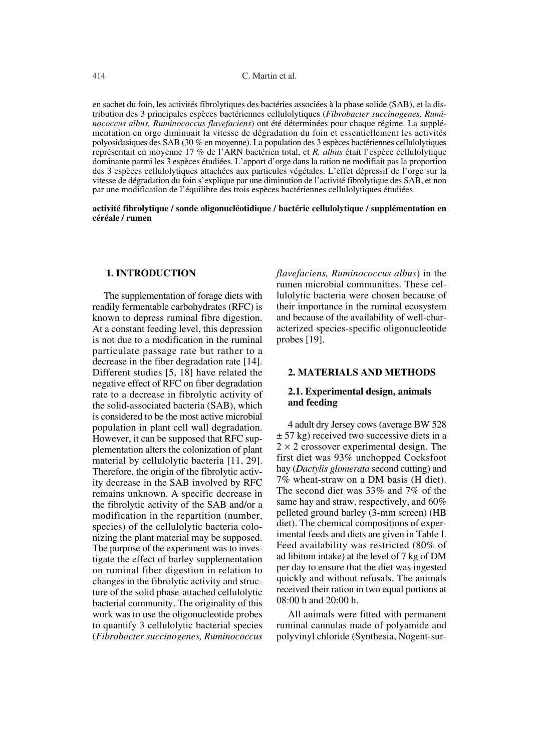en sachet du foin, les activités fibrolytiques des bactéries associées à la phase solide (SAB), et la distribution des 3 principales espèces bactériennes cellulolytiques (*Fibrobacter succinogenes, Ruminococcus albus, Ruminococcus flavefaciens*) ont été déterminées pour chaque régime. La supplémentation en orge diminuait la vitesse de dégradation du foin et essentiellement les activités polyosidasiques des SAB (30 % en moyenne). La population des 3 espèces bactériennes cellulolytiques représentait en moyenne 17 % de l'ARN bactérien total, et *R. albus* était l'espèce cellulolytique dominante parmi les 3 espèces étudiées. L'apport d'orge dans la ration ne modifiait pas la proportion des 3 espèces cellulolytiques attachées aux particules végétales. L'effet dépressif de l'orge sur la vitesse de dégradation du foin s'explique par une diminution de l'activité fibrolytique des SAB, et non par une modification de l'équilibre des trois espèces bactériennes cellulolytiques étudiées.

## **activité fibrolytique / sonde oligonucléotidique / bactérie cellulolytique / supplémentation en céréale / rumen**

## **1. INTRODUCTION**

The supplementation of forage diets with readily fermentable carbohydrates (RFC) is known to depress ruminal fibre digestion. At a constant feeding level, this depression is not due to a modification in the ruminal particulate passage rate but rather to a decrease in the fiber degradation rate [14]. Different studies [5, 18] have related the negative effect of RFC on fiber degradation rate to a decrease in fibrolytic activity of the solid-associated bacteria (SAB), which is considered to be the most active microbial population in plant cell wall degradation. However, it can be supposed that RFC supplementation alters the colonization of plant material by cellulolytic bacteria [11, 29]. Therefore, the origin of the fibrolytic activity decrease in the SAB involved by RFC remains unknown. A specific decrease in the fibrolytic activity of the SAB and/or a modification in the repartition (number, species) of the cellulolytic bacteria colonizing the plant material may be supposed. The purpose of the experiment was to investigate the effect of barley supplementation on ruminal fiber digestion in relation to changes in the fibrolytic activity and structure of the solid phase-attached cellulolytic bacterial community. The originality of this work was to use the oligonucleotide probes to quantify 3 cellulolytic bacterial species (*Fibrobacter succinogenes, Ruminococcus* *flavefaciens, Ruminococcus albus*) in the rumen microbial communities. These cellulolytic bacteria were chosen because of their importance in the ruminal ecosystem and because of the availability of well-characterized species-specific oligonucleotide probes [19].

## **2. MATERIALS AND METHODS**

## **2.1. Experimental design, animals and feeding**

4 adult dry Jersey cows (average BW 528  $\pm$  57 kg) received two successive diets in a  $2 \times 2$  crossover experimental design. The first diet was 93% unchopped Cocksfoot hay (*Dactylis glomerata* second cutting) and 7% wheat-straw on a DM basis (H diet). The second diet was 33% and 7% of the same hay and straw, respectively, and 60% pelleted ground barley (3-mm screen) (HB diet). The chemical compositions of experimental feeds and diets are given in Table I. Feed availability was restricted (80% of ad libitum intake) at the level of 7 kg of DM per day to ensure that the diet was ingested quickly and without refusals. The animals received their ration in two equal portions at 08:00 h and 20:00 h.

All animals were fitted with permanent ruminal cannulas made of polyamide and polyvinyl chloride (Synthesia, Nogent-sur-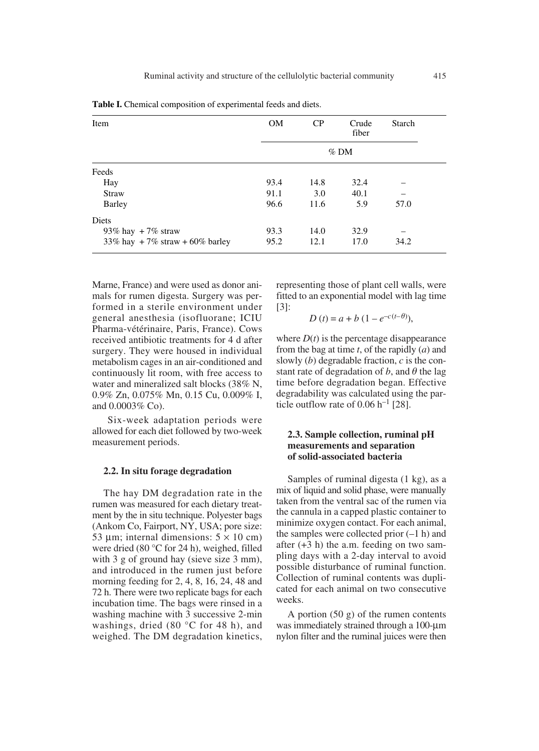| Item                              | <b>OM</b> | CP     | Crude<br>fiber | Starch |  |  |  |
|-----------------------------------|-----------|--------|----------------|--------|--|--|--|
|                                   |           | $%$ DM |                |        |  |  |  |
| Feeds                             |           |        |                |        |  |  |  |
| Hay                               | 93.4      | 14.8   | 32.4           |        |  |  |  |
| <b>Straw</b>                      | 91.1      | 3.0    | 40.1           |        |  |  |  |
| Barley                            | 96.6      | 11.6   | 5.9            | 57.0   |  |  |  |
| Diets                             |           |        |                |        |  |  |  |
| 93% hay $+7%$ straw               | 93.3      | 14.0   | 32.9           |        |  |  |  |
| 33% hay $+7%$ straw $+60%$ barley | 95.2      | 12.1   | 17.0           | 34.2   |  |  |  |

**Table I.** Chemical composition of experimental feeds and diets.

Marne, France) and were used as donor animals for rumen digesta. Surgery was performed in a sterile environment under general anesthesia (isofluorane; ICIU Pharma-vétérinaire, Paris, France). Cows received antibiotic treatments for 4 d after surgery. They were housed in individual metabolism cages in an air-conditioned and continuously lit room, with free access to water and mineralized salt blocks (38% N, 0.9% Zn, 0.075% Mn, 0.15 Cu, 0.009% I, and 0.0003% Co).

Six-week adaptation periods were allowed for each diet followed by two-week measurement periods.

#### **2.2. In situ forage degradation**

The hay DM degradation rate in the rumen was measured for each dietary treatment by the in situ technique. Polyester bags (Ankom Co, Fairport, NY, USA; pore size: 53 µm; internal dimensions:  $5 \times 10$  cm) were dried (80 °C for 24 h), weighed, filled with 3 g of ground hay (sieve size 3 mm), and introduced in the rumen just before morning feeding for 2, 4, 8, 16, 24, 48 and 72 h. There were two replicate bags for each incubation time. The bags were rinsed in a washing machine with 3 successive 2-min washings, dried (80 °C for 48 h), and weighed. The DM degradation kinetics, representing those of plant cell walls, were fitted to an exponential model with lag time [3]:

$$
D(t) = a + b (1 - e^{-c(t-\theta)}),
$$

where  $D(t)$  is the percentage disappearance from the bag at time *t*, of the rapidly (*a*) and slowly (*b*) degradable fraction, *c* is the constant rate of degradation of  $b$ , and  $\theta$  the lag time before degradation began. Effective degradability was calculated using the particle outflow rate of  $0.06$  h<sup>-1</sup> [28].

## **2.3. Sample collection, ruminal pH measurements and separation of solid-associated bacteria**

Samples of ruminal digesta (1 kg), as a mix of liquid and solid phase, were manually taken from the ventral sac of the rumen via the cannula in a capped plastic container to minimize oxygen contact. For each animal, the samples were collected prior  $(-1 h)$  and after  $(+3 h)$  the a.m. feeding on two sampling days with a 2-day interval to avoid possible disturbance of ruminal function. Collection of ruminal contents was duplicated for each animal on two consecutive weeks.

A portion  $(50 \text{ g})$  of the rumen contents was immediately strained through a 100-µm nylon filter and the ruminal juices were then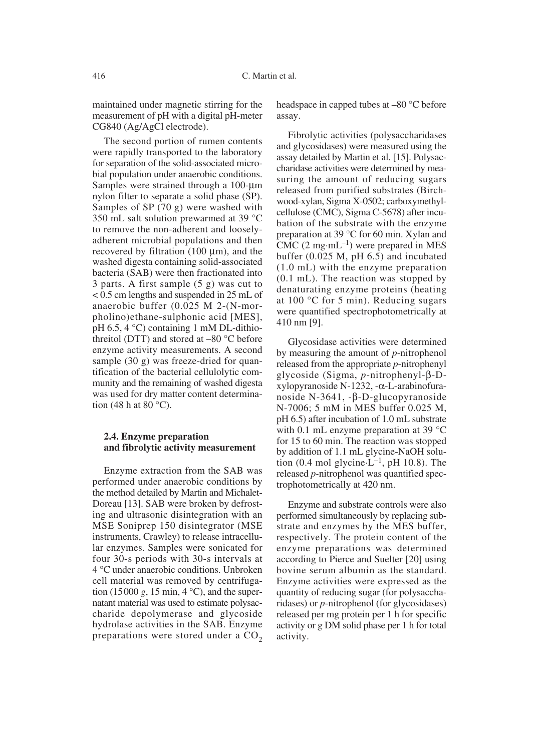maintained under magnetic stirring for the measurement of pH with a digital pH-meter CG840 (Ag/AgCl electrode).

The second portion of rumen contents were rapidly transported to the laboratory for separation of the solid-associated microbial population under anaerobic conditions. Samples were strained through a 100-µm nylon filter to separate a solid phase (SP). Samples of SP (70 g) were washed with 350 mL salt solution prewarmed at 39 °C to remove the non-adherent and looselyadherent microbial populations and then recovered by filtration  $(100 \mu m)$ , and the washed digesta containing solid-associated bacteria (SAB) were then fractionated into 3 parts. A first sample (5 g) was cut to < 0.5 cm lengths and suspended in 25 mL of anaerobic buffer (0.025 M 2-(N-morpholino)ethane-sulphonic acid [MES], pH 6.5, 4 °C) containing 1 mM DL-dithiothreitol (DTT) and stored at –80 °C before enzyme activity measurements. A second sample (30 g) was freeze-dried for quantification of the bacterial cellulolytic community and the remaining of washed digesta was used for dry matter content determination (48 h at 80 $\degree$ C).

## **2.4. Enzyme preparation and fibrolytic activity measurement**

Enzyme extraction from the SAB was performed under anaerobic conditions by the method detailed by Martin and Michalet-Doreau [13]. SAB were broken by defrosting and ultrasonic disintegration with an MSE Soniprep 150 disintegrator (MSE instruments, Crawley) to release intracellular enzymes. Samples were sonicated for four 30-s periods with 30-s intervals at 4 °C under anaerobic conditions. Unbroken cell material was removed by centrifugation (15000 *g*, 15 min, 4  $^{\circ}$ C), and the supernatant material was used to estimate polysaccharide depolymerase and glycoside hydrolase activities in the SAB. Enzyme preparations were stored under a  $CO<sub>2</sub>$  headspace in capped tubes at –80 °C before assay.

Fibrolytic activities (polysaccharidases and glycosidases) were measured using the assay detailed by Martin et al. [15]. Polysaccharidase activities were determined by measuring the amount of reducing sugars released from purified substrates (Birchwood-xylan, Sigma X-0502; carboxymethylcellulose (CMC), Sigma C-5678) after incubation of the substrate with the enzyme preparation at 39 °C for 60 min. Xylan and CMC  $(2 \text{ mg} \cdot \text{mL}^{-1})$  were prepared in MES buffer (0.025 M, pH 6.5) and incubated (1.0 mL) with the enzyme preparation (0.1 mL). The reaction was stopped by denaturating enzyme proteins (heating at 100 °C for 5 min). Reducing sugars were quantified spectrophotometrically at 410 nm [9].

Glycosidase activities were determined by measuring the amount of *p*-nitrophenol released from the appropriate *p*-nitrophenyl glycoside (Sigma, *p*-nitrophenyl-b-D $x$ ylopyranoside N-1232, - $\alpha$ -L-arabinofuranoside N-3641,  $-\beta$ -D-glucopyranoside N-7006; 5 mM in MES buffer 0.025 M, pH 6.5) after incubation of 1.0 mL substrate with 0.1 mL enzyme preparation at 39 °C for 15 to 60 min. The reaction was stopped by addition of 1.1 mL glycine-NaOH solution (0.4 mol glycine $-L^{-1}$ , pH 10.8). The released *p-*nitrophenol was quantified spectrophotometrically at 420 nm.

Enzyme and substrate controls were also performed simultaneously by replacing substrate and enzymes by the MES buffer, respectively. The protein content of the enzyme preparations was determined according to Pierce and Suelter [20] using bovine serum albumin as the standard. Enzyme activities were expressed as the quantity of reducing sugar (for polysaccharidases) or *p*-nitrophenol (for glycosidases) released per mg protein per 1 h for specific activity or g DM solid phase per 1 h for total activity.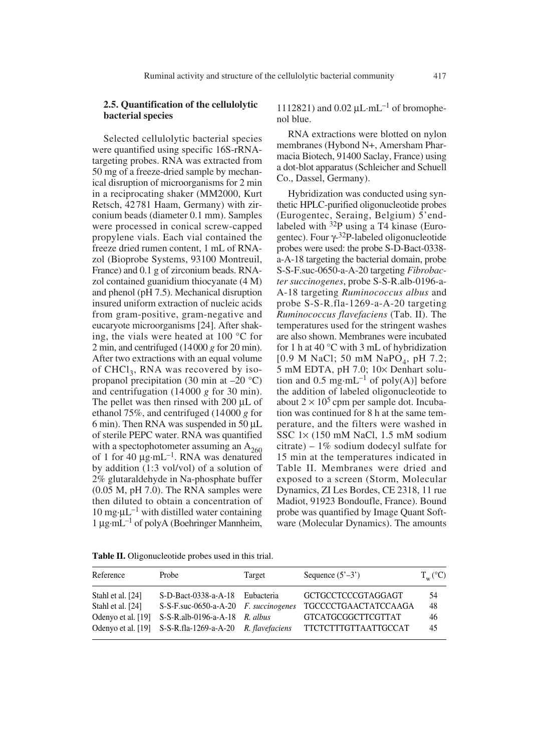## **2.5. Quantification of the cellulolytic bacterial species**

Selected cellulolytic bacterial species were quantified using specific 16S-rRNAtargeting probes. RNA was extracted from 50 mg of a freeze-dried sample by mechanical disruption of microorganisms for 2 min in a reciprocating shaker (MM2000, Kurt Retsch, 42781 Haam, Germany) with zirconium beads (diameter 0.1 mm). Samples were processed in conical screw-capped propylene vials. Each vial contained the freeze dried rumen content, 1 mL of RNAzol (Bioprobe Systems, 93100 Montreuil, France) and 0.1 g of zirconium beads. RNAzol contained guanidium thiocyanate (4 M) and phenol (pH 7.5). Mechanical disruption insured uniform extraction of nucleic acids from gram-positive, gram-negative and eucaryote microorganisms [24]. After shaking, the vials were heated at 100 °C for 2 min, and centrifuged (14000 *g* for 20 min). After two extractions with an equal volume of  $CHCl<sub>3</sub>$ , RNA was recovered by isopropanol precipitation (30 min at  $-20$  °C) and centrifugation (14000 *g* for 30 min). The pellet was then rinsed with  $200 \mu L$  of ethanol 75%, and centrifuged (14000 *g* for 6 min). Then RNA was suspended in 50  $\mu$ L of sterile PEPC water. RNA was quantified with a spectophotometer assuming an  $A_{260}$ of 1 for 40  $\mu$ g·mL<sup>-1</sup>. RNA was denatured by addition (1:3 vol/vol) of a solution of 2% glutaraldehyde in Na-phosphate buffer (0.05 M, pH 7.0). The RNA samples were then diluted to obtain a concentration of 10 mg $\mu L^{-1}$  with distilled water containing  $1 \mu$ g·mL<sup>-1</sup> of polyA (Boehringer Mannheim,

1112821) and  $0.02 \mu L \cdot mL^{-1}$  of bromophenol blue.

RNA extractions were blotted on nylon membranes (Hybond N+, Amersham Pharmacia Biotech, 91400 Saclay, France) using a dot-blot apparatus (Schleicher and Schuell Co., Dassel, Germany).

Hybridization was conducted using synthetic HPLC-purified oligonucleotide probes (Eurogentec, Seraing, Belgium) 5'endlabeled with  $32P$  using a T4 kinase (Eurogentec). Four  $\gamma$ -32P-labeled oligonucleotide probes were used: the probe S-D-Bact-0338 a-A-18 targeting the bacterial domain, probe S-S-F.suc-0650-a-A-20 targeting *Fibrobacter succinogenes*, probe S-S-R.alb-0196-a-A-18 targeting *Ruminococcus albus* and probe S-S-R.fla-1269-a-A-20 targeting *Ruminococcus flavefaciens* (Tab. II). The temperatures used for the stringent washes are also shown. Membranes were incubated for 1 h at 40  $\degree$ C with 3 mL of hybridization  $[0.9 \text{ M NaCl}; 50 \text{ mM NaPO}_4, \text{ pH } 7.2;$ 5 mM EDTA, pH 7.0; 10× Denhart solution and 0.5 mg·mL<sup>-1</sup> of poly(A)] before the addition of labeled oligonucleotide to about  $2 \times 10^5$  cpm per sample dot. Incubation was continued for 8 h at the same temperature, and the filters were washed in SSC 1¥ (150 mM NaCl, 1.5 mM sodium citrate) – 1% sodium dodecyl sulfate for 15 min at the temperatures indicated in Table II. Membranes were dried and exposed to a screen (Storm, Molecular Dynamics, ZI Les Bordes, CE 2318, 11 rue Madiot, 91923 Bondoufle, France). Bound probe was quantified by Image Quant Software (Molecular Dynamics). The amounts

| Reference          | Probe                                                    | Target | Sequence $(5^{\prime}-3^{\prime})$ | $T_w({}^{\circ}C)$ |
|--------------------|----------------------------------------------------------|--------|------------------------------------|--------------------|
| Stahl et al. [24]  | S-D-Bact-0338-a-A-18 Eubacteria                          |        | <b>GCTGCCTCCCGTAGGAGT</b>          | .54                |
| Stahl et al. [24]  | $S-S-F$ .suc-0650-a-A-20 $F$ . succinogenes              |        | <b>TGCCCCTGAACTATCCAAGA</b>        | 48                 |
| Odenyo et al. [19] | $S-S-R$ .alb-0196-a-A-18 <i>R. albus</i>                 |        | <b>GTCATGCGGCTTCGTTAT</b>          | 46                 |
|                    | Odenyo et al. [19] S-S-R.fla-1269-a-A-20 R. flavefaciens |        | <b>TTCTCTTTGTTAATTGCCAT</b>        | 45                 |

**Table II.** Oligonucleotide probes used in this trial.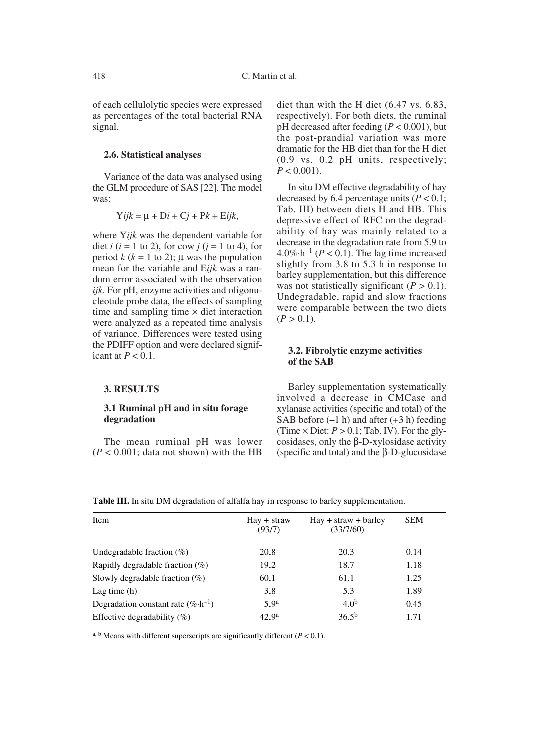of each cellulolytic species were expressed as percentages of the total bacterial RNA signal.

#### **2.6. Statistical analyses**

Variance of the data was analysed using the GLM procedure of SAS [22]. The model was:

$$
Yijk = \mu + Di + Cj + Pk + Eijk,
$$

where Y*ijk* was the dependent variable for diet  $i$  ( $i = 1$  to 2), for cow  $j$  ( $j = 1$  to 4), for period  $k$  ( $k = 1$  to 2);  $\mu$  was the population mean for the variable and E*ijk* was a random error associated with the observation *ijk*. For pH, enzyme activities and oligonucleotide probe data, the effects of sampling time and sampling time  $\times$  diet interaction were analyzed as a repeated time analysis of variance. Differences were tested using the PDIFF option and were declared significant at  $P < 0.1$ .

#### **3. RESULTS**

## **3.1 Ruminal pH and in situ forage degradation**

The mean ruminal pH was lower  $(P < 0.001$ ; data not shown) with the HB diet than with the H diet (6.47 vs. 6.83, respectively). For both diets, the ruminal pH decreased after feeding (*P* < 0.001), but the post-prandial variation was more dramatic for the HB diet than for the H diet (0.9 vs. 0.2 pH units, respectively;  $P < 0.001$ ).

In situ DM effective degradability of hay decreased by 6.4 percentage units  $(P < 0.1)$ ; Tab. III) between diets H and HB. This depressive effect of RFC on the degradability of hay was mainly related to a decrease in the degradation rate from 5.9 to  $4.0\% \cdot h^{-1}$  ( $P < 0.1$ ). The lag time increased slightly from 3.8 to 5.3 h in response to barley supplementation, but this difference was not statistically significant  $(P > 0.1)$ . Undegradable, rapid and slow fractions were comparable between the two diets  $(P > 0.1)$ .

## **3.2. Fibrolytic enzyme activities of the SAB**

Barley supplementation systematically involved a decrease in CMCase and xylanase activities (specific and total) of the SAB before  $(-1 h)$  and after  $(+3 h)$  feeding (Time  $\times$  Diet:  $P > 0.1$ ; Tab. IV). For the glycosidases, only the  $\beta$ -D-xylosidase activity (specific and total) and the  $\beta$ -D-glucosidase

| Item                                          | $\text{Hav} + \text{straw}$<br>(93/7) | $\text{Hay} + \text{straw} + \text{barley}$<br>(33/7/60) | <b>SEM</b> |
|-----------------------------------------------|---------------------------------------|----------------------------------------------------------|------------|
| Undegradable fraction $(\%)$                  | 20.8                                  | 20.3                                                     | 0.14       |
| Rapidly degradable fraction $(\%)$            | 19.2                                  | 18.7                                                     | 1.18       |
| Slowly degradable fraction $(\%)$             | 60.1                                  | 61.1                                                     | 1.25       |
| Lag time $(h)$                                | 3.8                                   | 5.3                                                      | 1.89       |
| Degradation constant rate $(\% \cdot h^{-1})$ | 5.9 <sup>a</sup>                      | 4.0 <sup>b</sup>                                         | 0.45       |
| Effective degradability $(\%)$                | 42.9 <sup>a</sup>                     | $36.5^{b}$                                               | 1.71       |

**Table III.** In situ DM degradation of alfalfa hay in response to barley supplementation.

<sup>a, b</sup> Means with different superscripts are significantly different  $(P < 0.1)$ .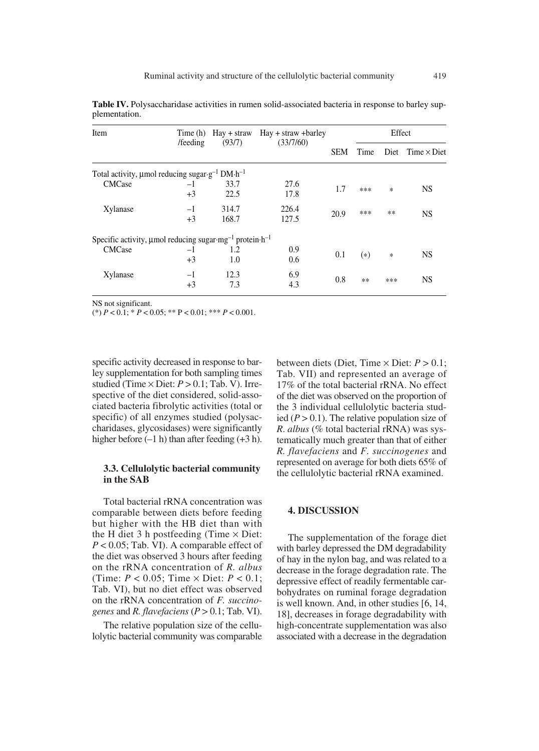| Item                                                                                        | Time (h)     |                | $\text{Hay} + \text{straw}$ $\text{Hay} + \text{straw} + \text{barley}$ |            | Effect |        |                         |
|---------------------------------------------------------------------------------------------|--------------|----------------|-------------------------------------------------------------------------|------------|--------|--------|-------------------------|
|                                                                                             | /feeding     | (93/7)         | (33/7/60)                                                               | <b>SEM</b> | Time   |        | Diet $Time \times$ Diet |
| Total activity, $\mu$ mol reducing sugar $\cdot$ g <sup>-1</sup> DM $\cdot$ h <sup>-1</sup> |              |                |                                                                         |            |        |        |                         |
| <b>CMCase</b>                                                                               | $-1$<br>$+3$ | 33.7<br>22.5   | 27.6<br>17.8                                                            | 1.7        | ***    | $\ast$ | <b>NS</b>               |
| Xylanase                                                                                    | $-1$<br>$+3$ | 314.7<br>168.7 | 226.4<br>127.5                                                          | 20.9       | ***    | $**$   | <b>NS</b>               |
| Specific activity, $\mu$ mol reducing sugar $mg^{-1}$ protein $h^{-1}$                      |              |                |                                                                         |            |        |        |                         |
| <b>CMCase</b>                                                                               | $-1$<br>$+3$ | 1.2<br>1.0     | 0.9<br>0.6                                                              | 0.1        | $(*)$  | $\ast$ | <b>NS</b>               |
| Xylanase                                                                                    | $-1$<br>$+3$ | 12.3<br>7.3    | 6.9<br>4.3                                                              | 0.8        | **     | ***    | NS                      |

**Table IV.** Polysaccharidase activities in rumen solid-associated bacteria in response to barley supplementation.

NS not significant.

(\*)  $P < 0.1$ ; \*  $P < 0.05$ ; \*\*  $P < 0.01$ ; \*\*\*  $P < 0.001$ .

specific activity decreased in response to barley supplementation for both sampling times studied (Time  $\times$  Diet:  $P > 0.1$ ; Tab. V). Irrespective of the diet considered, solid-associated bacteria fibrolytic activities (total or specific) of all enzymes studied (polysaccharidases, glycosidases) were significantly higher before  $(-1 h)$  than after feeding  $(+3 h)$ .

## **3.3. Cellulolytic bacterial community in the SAB**

Total bacterial rRNA concentration was comparable between diets before feeding but higher with the HB diet than with the H diet 3 h postfeeding (Time  $\times$  Diet: *P* < 0.05; Tab. VI). A comparable effect of the diet was observed 3 hours after feeding on the rRNA concentration of *R. albus* (Time:  $P < 0.05$ ; Time  $\times$  Diet:  $P < 0.1$ ; Tab. VI), but no diet effect was observed on the rRNA concentration of *F. succinogenes* and *R. flavefaciens*  $(P > 0.1$ ; Tab. VI).

The relative population size of the cellulolytic bacterial community was comparable between diets (Diet, Time  $\times$  Diet:  $P > 0.1$ ; Tab. VII) and represented an average of 17% of the total bacterial rRNA. No effect of the diet was observed on the proportion of the 3 individual cellulolytic bacteria studied  $(P > 0.1)$ . The relative population size of *R*. *albus* (% total bacterial rRNA) was systematically much greater than that of either *R. flavefaciens* and *F. succinogenes* and represented on average for both diets 65% of the cellulolytic bacterial rRNA examined.

## **4. DISCUSSION**

The supplementation of the forage diet with barley depressed the DM degradability of hay in the nylon bag, and was related to a decrease in the forage degradation rate. The depressive effect of readily fermentable carbohydrates on ruminal forage degradation is well known. And, in other studies [6, 14, 18], decreases in forage degradability with high-concentrate supplementation was also associated with a decrease in the degradation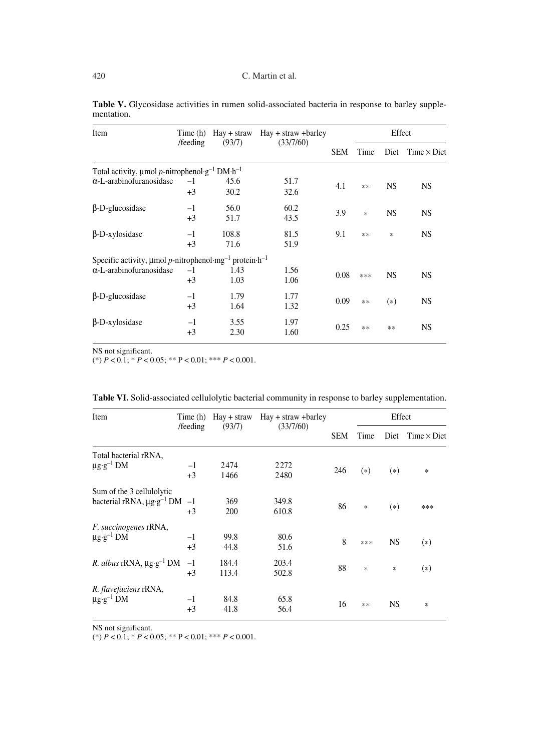| Item                                                                                | Time (h) |        | $\text{Hay} + \text{straw}$ $\text{Hay} + \text{straw} + \text{barley}$ |            | Effect |           |                         |
|-------------------------------------------------------------------------------------|----------|--------|-------------------------------------------------------------------------|------------|--------|-----------|-------------------------|
|                                                                                     | /feeding | (93/7) | (33/7/60)                                                               | <b>SEM</b> | Time   |           | Diet $Time \times Diet$ |
| Total activity, $\mu$ mol p-nitrophenol·g <sup>-1</sup> DM·h <sup>-1</sup>          |          |        |                                                                         |            |        |           |                         |
| $\alpha$ -L-arabinofuranosidase                                                     | $-1$     | 45.6   | 51.7                                                                    | 4.1        |        | <b>NS</b> | <b>NS</b>               |
|                                                                                     | $+3$     | 30.2   | 32.6                                                                    |            | $**$   |           |                         |
| $\beta$ -D-glucosidase                                                              | $-1$     | 56.0   | 60.2                                                                    |            |        |           |                         |
|                                                                                     | $+3$     | 51.7   | 43.5                                                                    | 3.9        | $\ast$ | <b>NS</b> | <b>NS</b>               |
| $\beta$ -D-xylosidase                                                               | $-1$     | 108.8  | 81.5                                                                    | 9.1        | $***$  | *         | <b>NS</b>               |
|                                                                                     | $+3$     | 71.6   | 51.9                                                                    |            |        |           |                         |
| Specific activity, $\mu$ mol p-nitrophenol·mg <sup>-1</sup> protein·h <sup>-1</sup> |          |        |                                                                         |            |        |           |                         |
| $\alpha$ -L-arabinofuranosidase                                                     | $-1$     | 1.43   | 1.56                                                                    |            |        |           |                         |
|                                                                                     | $+3$     | 1.03   | 1.06                                                                    | 0.08       | ***    | <b>NS</b> | NS.                     |
| $\beta$ -D-glucosidase                                                              | $-1$     | 1.79   | 1.77                                                                    | 0.09       |        |           |                         |
|                                                                                     | $+3$     | 1.64   | 1.32                                                                    |            | $**$   | $(*)$     | <b>NS</b>               |
| $\beta$ -D-xylosidase                                                               | $-1$     | 3.55   | 1.97                                                                    |            |        |           |                         |
|                                                                                     | $+3$     | 2.30   | 1.60                                                                    | 0.25       | $**$   | **        | <b>NS</b>               |

Table V. Glycosidase activities in rumen solid-associated bacteria in response to barley supplementation.

NS not significant.

 $(*) P < 0.1$ ;  $* P < 0.05$ ;  $** P < 0.01$ ;  $** P < 0.001$ .

| Item                                             | Time (h) | $\text{Hay} + \text{straw}$ $\text{Hay} + \text{straw} + \text{barley}$ |           | Effect     |       |           |                    |
|--------------------------------------------------|----------|-------------------------------------------------------------------------|-----------|------------|-------|-----------|--------------------|
|                                                  | /feeding | (93/7)                                                                  | (33/7/60) | <b>SEM</b> | Time  | Diet      | Time $\times$ Diet |
| Total bacterial rRNA,                            |          |                                                                         |           |            |       |           |                    |
| $\mu$ g·g <sup>-1</sup> DM                       | $-1$     | 2474                                                                    | 2272      |            |       |           |                    |
|                                                  | $+3$     | 1466                                                                    | 2480      | 246        | $(*)$ | $(*)$     | $\ast$             |
| Sum of the 3 cellulolytic                        |          |                                                                         |           |            |       |           |                    |
| bacterial rRNA, $\mu$ g·g <sup>-1</sup> DM -1    |          | 369                                                                     | 349.8     |            |       |           |                    |
|                                                  | $+3$     | 200                                                                     | 610.8     | 86         | *     | $(*)$     | ***                |
| F. succinogenes rRNA,                            |          |                                                                         |           |            |       |           |                    |
| $\mu$ g-g <sup>-1</sup> DM                       | $-1$     | 99.8                                                                    | 80.6      |            |       |           |                    |
|                                                  | $+3$     | 44.8                                                                    | 51.6      | 8          | ***   | <b>NS</b> | $(*)$              |
| <i>R. albus</i> rRNA, $\mu$ g·g <sup>-1</sup> DM | $-1$     | 184.4                                                                   | 203.4     |            |       |           |                    |
|                                                  | $+3$     | 113.4                                                                   | 502.8     | 88         | *     | *         | $(*)$              |
| R. flavefaciens rRNA,                            |          |                                                                         |           |            |       |           |                    |
| $\mu$ g·g <sup>-1</sup> DM                       | $-1$     | 84.8                                                                    | 65.8      |            |       |           |                    |
|                                                  | $+3$     | 41.8                                                                    | 56.4      | 16         | **    | <b>NS</b> | *                  |

| Table VI. Solid-associated cellulolytic bacterial community in response to barley supplementation. |
|----------------------------------------------------------------------------------------------------|
|----------------------------------------------------------------------------------------------------|

NS not significant.

 $(*) P < 0.1$ ;  $* P < 0.05$ ;  $** P < 0.01$ ;  $*** P < 0.001$ .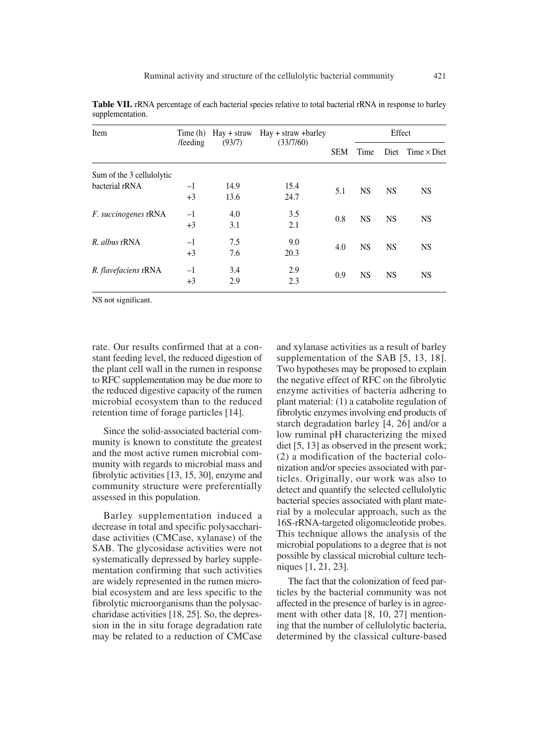| Item                        | Time (h)           | $\text{Hav} + \text{straw}$ | $\text{Hay} + \text{straw} + \text{barley}$ |      |           | Effect                    |           |
|-----------------------------|--------------------|-----------------------------|---------------------------------------------|------|-----------|---------------------------|-----------|
|                             | /feeding<br>(93/7) | (33/7/60)                   | <b>SEM</b>                                  | Time |           | $Diet$ Time $\times$ Diet |           |
| Sum of the 3 cellulolytic   |                    |                             |                                             |      |           |                           |           |
| bacterial rRNA              | $-1$               | 14.9                        | 15.4                                        | 5.1  | <b>NS</b> | <b>NS</b>                 | <b>NS</b> |
|                             | $+3$               | 13.6                        | 24.7                                        |      |           |                           |           |
| <i>F. succinogenes</i> rRNA | $-1$               | 4.0                         | 3.5                                         | 0.8  | <b>NS</b> | <b>NS</b>                 | <b>NS</b> |
|                             | $+3$               | 3.1                         | 2.1                                         |      |           |                           |           |
| R. albus rRNA               | $-1$               | 7.5                         | 9.0                                         |      | <b>NS</b> | <b>NS</b>                 | <b>NS</b> |
|                             | $+3$               | 7.6                         | 20.3                                        | 4.0  |           |                           |           |
| R. flavefaciens rRNA        | $-1$               | 3.4                         | 2.9                                         | 0.9  |           |                           |           |
|                             | $+3$               | 2.9                         | 2.3                                         |      |           | <b>NS</b><br><b>NS</b>    | <b>NS</b> |

**Table VII.** rRNA percentage of each bacterial species relative to total bacterial rRNA in response to barley supplementation.

NS not significant.

rate. Our results confirmed that at a constant feeding level, the reduced digestion of the plant cell wall in the rumen in response to RFC supplementation may be due more to the reduced digestive capacity of the rumen microbial ecosystem than to the reduced retention time of forage particles [14].

Since the solid-associated bacterial community is known to constitute the greatest and the most active rumen microbial community with regards to microbial mass and fibrolytic activities [13, 15, 30], enzyme and community structure were preferentially assessed in this population.

Barley supplementation induced a decrease in total and specific polysaccharidase activities (CMCase, xylanase) of the SAB. The glycosidase activities were not systematically depressed by barley supplementation confirming that such activities are widely represented in the rumen microbial ecosystem and are less specific to the fibrolytic microorganisms than the polysaccharidase activities [18, 25]. So, the depression in the in situ forage degradation rate may be related to a reduction of CMCase

and xylanase activities as a result of barley supplementation of the SAB [5, 13, 18]. Two hypotheses may be proposed to explain the negative effect of RFC on the fibrolytic enzyme activities of bacteria adhering to plant material: (1) a catabolite regulation of fibrolytic enzymes involving end products of starch degradation barley [4, 26] and/or a low ruminal pH characterizing the mixed diet [5, 13] as observed in the present work; (2) a modification of the bacterial colonization and/or species associated with particles. Originally, our work was also to detect and quantify the selected cellulolytic bacterial species associated with plant material by a molecular approach, such as the 16S-rRNA-targeted oligonucleotide probes. This technique allows the analysis of the microbial populations to a degree that is not possible by classical microbial culture techniques [1, 21, 23].

The fact that the colonization of feed particles by the bacterial community was not affected in the presence of barley is in agreement with other data [8, 10, 27] mentioning that the number of cellulolytic bacteria, determined by the classical culture-based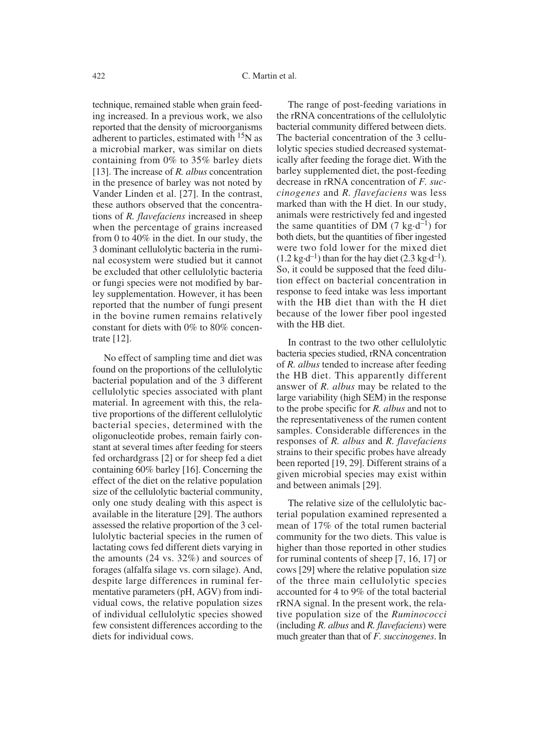technique, remained stable when grain feeding increased. In a previous work, we also reported that the density of microorganisms adherent to particles, estimated with  $15N$  as a microbial marker, was similar on diets containing from 0% to 35% barley diets [13]. The increase of *R. albus* concentration in the presence of barley was not noted by Vander Linden et al. [27]. In the contrast, these authors observed that the concentrations of *R. flavefaciens* increased in sheep when the percentage of grains increased from 0 to 40% in the diet. In our study, the 3 dominant cellulolytic bacteria in the ruminal ecosystem were studied but it cannot be excluded that other cellulolytic bacteria or fungi species were not modified by barley supplementation. However, it has been reported that the number of fungi present in the bovine rumen remains relatively constant for diets with 0% to 80% concentrate [12].

No effect of sampling time and diet was found on the proportions of the cellulolytic bacterial population and of the 3 different cellulolytic species associated with plant material. In agreement with this, the relative proportions of the different cellulolytic bacterial species, determined with the oligonucleotide probes, remain fairly constant at several times after feeding for steers fed orchardgrass [2] or for sheep fed a diet containing 60% barley [16]. Concerning the effect of the diet on the relative population size of the cellulolytic bacterial community, only one study dealing with this aspect is available in the literature [29]. The authors assessed the relative proportion of the 3 cellulolytic bacterial species in the rumen of lactating cows fed different diets varying in the amounts (24 vs. 32%) and sources of forages (alfalfa silage vs. corn silage). And, despite large differences in ruminal fermentative parameters (pH, AGV) from individual cows, the relative population sizes of individual cellulolytic species showed few consistent differences according to the diets for individual cows.

The range of post-feeding variations in the rRNA concentrations of the cellulolytic bacterial community differed between diets. The bacterial concentration of the 3 cellulolytic species studied decreased systematically after feeding the forage diet. With the barley supplemented diet, the post-feeding decrease in rRNA concentration of *F. succinogenes* and *R. flavefaciens* was less marked than with the H diet. In our study, animals were restrictively fed and ingested the same quantities of DM  $(7 \text{ kg-d}^{-1})$  for both diets, but the quantities of fiber ingested were two fold lower for the mixed diet  $(1.2 \text{ kg-d}^{-1})$  than for the hay diet  $(2.3 \text{ kg-d}^{-1})$ . So, it could be supposed that the feed dilution effect on bacterial concentration in response to feed intake was less important with the HB diet than with the H diet because of the lower fiber pool ingested with the HB diet.

In contrast to the two other cellulolytic bacteria species studied, rRNA concentration of *R. albus* tended to increase after feeding the HB diet. This apparently different answer of *R. albus* may be related to the large variability (high SEM) in the response to the probe specific for *R. albus* and not to the representativeness of the rumen content samples. Considerable differences in the responses of *R. albus* and *R. flavefaciens* strains to their specific probes have already been reported [19, 29]. Different strains of a given microbial species may exist within and between animals [29].

The relative size of the cellulolytic bacterial population examined represented a mean of 17% of the total rumen bacterial community for the two diets. This value is higher than those reported in other studies for ruminal contents of sheep [7, 16, 17] or cows [29] where the relative population size of the three main cellulolytic species accounted for 4 to 9% of the total bacterial rRNA signal. In the present work, the relative population size of the *Ruminococci* (including *R. albus* and *R. flavefaciens*) were much greater than that of *F. succinogenes*. In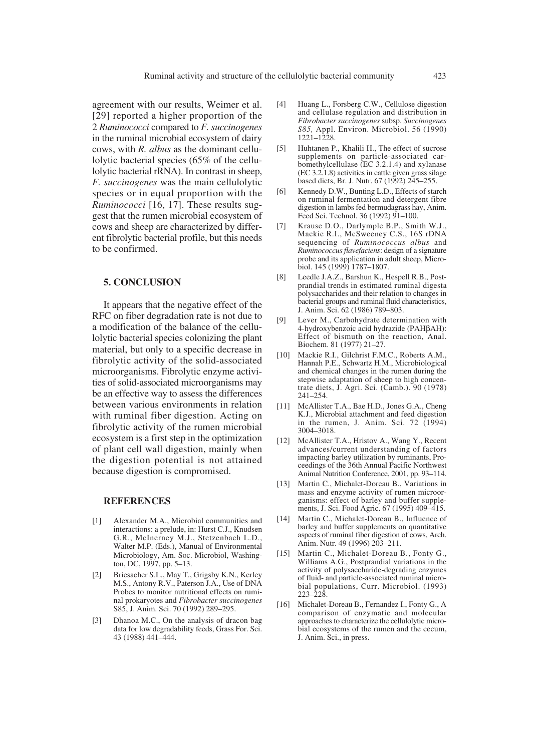agreement with our results, Weimer et al. [29] reported a higher proportion of the 2 *Ruminococci* compared to *F. succinogenes* in the ruminal microbial ecosystem of dairy cows, with *R. albus* as the dominant cellulolytic bacterial species (65% of the cellulolytic bacterial rRNA). In contrast in sheep, *F. succinogenes* was the main cellulolytic species or in equal proportion with the *Ruminococci* [16, 17]. These results suggest that the rumen microbial ecosystem of cows and sheep are characterized by different fibrolytic bacterial profile, but this needs to be confirmed.

#### **5. CONCLUSION**

It appears that the negative effect of the RFC on fiber degradation rate is not due to a modification of the balance of the cellulolytic bacterial species colonizing the plant material, but only to a specific decrease in fibrolytic activity of the solid-associated microorganisms. Fibrolytic enzyme activities of solid-associated microorganisms may be an effective way to assess the differences between various environments in relation with ruminal fiber digestion. Acting on fibrolytic activity of the rumen microbial ecosystem is a first step in the optimization of plant cell wall digestion, mainly when the digestion potential is not attained because digestion is compromised.

## **REFERENCES**

- [1] Alexander M.A., Microbial communities and interactions: a prelude, in: Hurst C.J., Knudsen G.R., McInerney M.J., Stetzenbach L.D., Walter M.P. (Eds.), Manual of Environmental Microbiology, Am. Soc. Microbiol, Washington, DC, 1997, pp. 5–13.
- [2] Briesacher S.L., May T., Grigsby K.N., Kerley M.S., Antony R.V., Paterson J.A., Use of DNA Probes to monitor nutritional effects on ruminal prokaryotes and *Fibrobacter succinogenes* S85, J. Anim. Sci. 70 (1992) 289–295.
- [3] Dhanoa M.C., On the analysis of dracon bag data for low degradability feeds, Grass For. Sci. 43 (1988) 441–444.
- [4] Huang L., Forsberg C.W., Cellulose digestion and cellulase regulation and distribution in *Fibrobacter succinogenes* subsp. *Succinogenes S85,* Appl. Environ. Microbiol. 56 (1990) 1221–1228.
- [5] Huhtanen P., Khalili H., The effect of sucrose supplements on particle-associated carbomethylcellulase (EC 3.2.1.4) and xylanase (EC 3.2.1.8) activities in cattle given grass silage based diets, Br. J. Nutr. 67 (1992) 245–255.
- [6] Kennedy D.W., Bunting L.D., Effects of starch on ruminal fermentation and detergent fibre digestion in lambs fed bermudagrass hay, Anim. Feed Sci. Technol. 36 (1992) 91–100.
- [7] Krause D.O., Darlymple B.P., Smith W.J., Mackie R.I., McSweeney C.S., 16S rDNA sequencing of *Ruminococcus albus* and *Ruminococcus flavefaciens*: design of a signature probe and its application in adult sheep, Microbiol. 145 (1999) 1787–1807.
- [8] Leedle J.A.Z., Barshun K., Hespell R.B., Postprandial trends in estimated ruminal digesta polysaccharides and their relation to changes in bacterial groups and ruminal fluid characteristics, J. Anim. Sci. 62 (1986) 789–803.
- [9] Lever M., Carbohydrate determination with 4-hydroxybenzoic acid hydrazide (PAHbAH): Effect of bismuth on the reaction, Anal. Biochem. 81 (1977) 21–27.
- [10] Mackie R.I., Gilchrist F.M.C., Roberts A.M., Hannah P.E., Schwartz H.M., Microbiological and chemical changes in the rumen during the stepwise adaptation of sheep to high concentrate diets, J. Agri. Sci. (Camb.). 90 (1978) 241–254.
- [11] McAllister T.A., Bae H.D., Jones G.A., Cheng K.J., Microbial attachment and feed digestion in the rumen, J. Anim. Sci. 72 (1994) 3004–3018.
- [12] McAllister T.A., Hristov A., Wang Y., Recent advances/current understanding of factors impacting barley utilization by ruminants, Proceedings of the 36th Annual Pacific Northwest Animal Nutrition Conference, 2001, pp. 93–114.
- [13] Martin C., Michalet-Doreau B., Variations in mass and enzyme activity of rumen microorganisms: effect of barley and buffer supplements, J. Sci. Food Agric. 67 (1995) 409–415.
- [14] Martin C., Michalet-Doreau B., Influence of barley and buffer supplements on quantitative aspects of ruminal fiber digestion of cows, Arch. Anim. Nutr. 49 (1996) 203–211.
- [15] Martin C., Michalet-Doreau B., Fonty G., Williams A.G., Postprandial variations in the activity of polysaccharide-degrading enzymes of fluid- and particle-associated ruminal microbial populations, Curr. Microbiol. (1993) 223–228.
- [16] Michalet-Doreau B., Fernandez I., Fonty G., A comparison of enzymatic and molecular approaches to characterize the cellulolytic microbial ecosystems of the rumen and the cecum, J. Anim. Sci., in press.